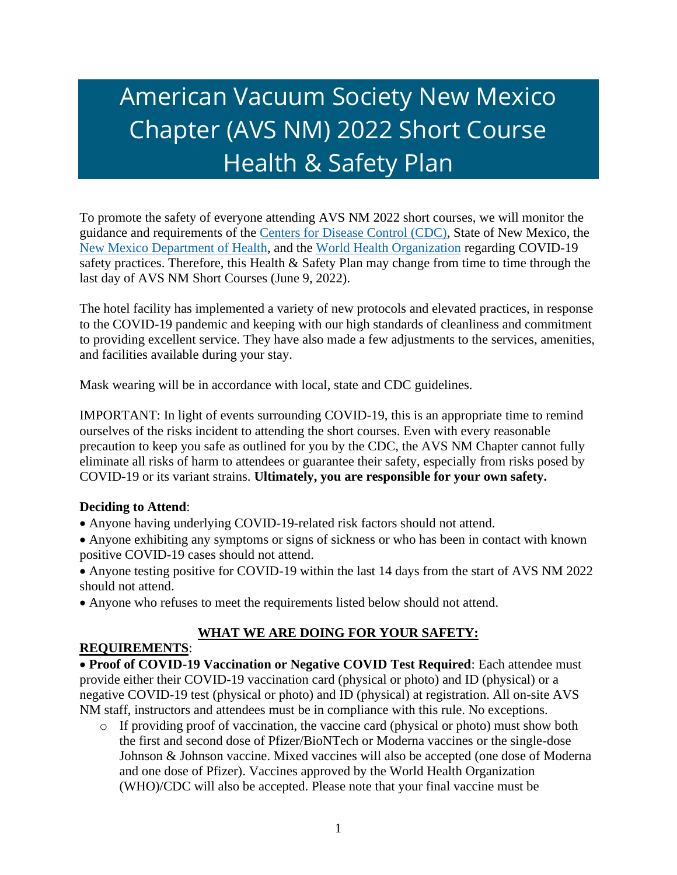# American Vacuum Society New Mexico Chapter (AVS NM) 2022 Short Course Health & Safety Plan

To promote the safety of everyone attending AVS NM 2022 short courses, we will monitor the guidance and requirements of the [Centers for Disease Control \(CDC\),](https://www.cdc.gov/coronavirus/2019-ncov/index.html) State of New Mexico, the New Mexico [Department of Health,](https://www.nmhealth.org/) and the [World Health Organization](https://www.who.int/) regarding COVID-19 safety practices. Therefore, this Health  $&$  Safety Plan may change from time to time through the last day of AVS NM Short Courses (June 9, 2022).

The hotel facility has implemented a variety of new protocols and elevated practices, in response to the COVID-19 pandemic and keeping with our high standards of cleanliness and commitment to providing excellent service. They have also made a few adjustments to the services, amenities, and facilities available during your stay.

Mask wearing will be in accordance with local, state and CDC guidelines.

IMPORTANT: In light of events surrounding COVID-19, this is an appropriate time to remind ourselves of the risks incident to attending the short courses. Even with every reasonable precaution to keep you safe as outlined for you by the CDC, the AVS NM Chapter cannot fully eliminate all risks of harm to attendees or guarantee their safety, especially from risks posed by COVID-19 or its variant strains. **Ultimately, you are responsible for your own safety.**

#### **Deciding to Attend**:

- Anyone having underlying COVID-19-related risk factors should not attend.
- Anyone exhibiting any symptoms or signs of sickness or who has been in contact with known positive COVID-19 cases should not attend.
- Anyone testing positive for COVID-19 within the last 14 days from the start of AVS NM 2022 should not attend.
- Anyone who refuses to meet the requirements listed below should not attend.

## **WHAT WE ARE DOING FOR YOUR SAFETY:**

#### **REQUIREMENTS**:

• **Proof of COVID-19 Vaccination or Negative COVID Test Required**: Each attendee must provide either their COVID-19 vaccination card (physical or photo) and ID (physical) or a negative COVID-19 test (physical or photo) and ID (physical) at registration. All on-site AVS NM staff, instructors and attendees must be in compliance with this rule. No exceptions.

o If providing proof of vaccination, the vaccine card (physical or photo) must show both the first and second dose of Pfizer/BioNTech or Moderna vaccines or the single-dose Johnson & Johnson vaccine. Mixed vaccines will also be accepted (one dose of Moderna and one dose of Pfizer). Vaccines approved by the World Health Organization (WHO)/CDC will also be accepted. Please note that your final vaccine must be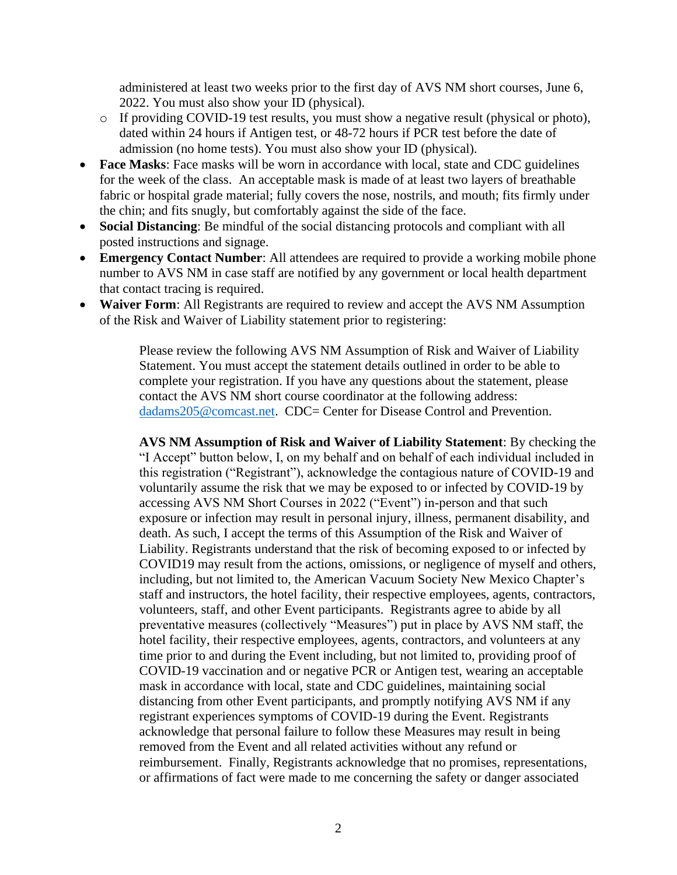administered at least two weeks prior to the first day of AVS NM short courses, June 6, 2022. You must also show your ID (physical).

- o If providing COVID-19 test results, you must show a negative result (physical or photo), dated within 24 hours if Antigen test, or 48-72 hours if PCR test before the date of admission (no home tests). You must also show your ID (physical).
- **Face Masks**: Face masks will be worn in accordance with local, state and CDC guidelines for the week of the class. An acceptable mask is made of at least two layers of breathable fabric or hospital grade material; fully covers the nose, nostrils, and mouth; fits firmly under the chin; and fits snugly, but comfortably against the side of the face.
- **Social Distancing**: Be mindful of the social distancing protocols and compliant with all posted instructions and signage.
- **Emergency Contact Number**: All attendees are required to provide a working mobile phone number to AVS NM in case staff are notified by any government or local health department that contact tracing is required.
- **Waiver Form**: All Registrants are required to review and accept the AVS NM Assumption of the Risk and Waiver of Liability statement prior to registering:

Please review the following AVS NM Assumption of Risk and Waiver of Liability Statement. You must accept the statement details outlined in order to be able to complete your registration. If you have any questions about the statement, please contact the AVS NM short course coordinator at the following address: [dadams205@comcast.net.](http://dadams205@comcast.net) CDC= Center for Disease Control and Prevention.

**AVS NM Assumption of Risk and Waiver of Liability Statement**: By checking the "I Accept" button below, I, on my behalf and on behalf of each individual included in this registration ("Registrant"), acknowledge the contagious nature of COVID-19 and voluntarily assume the risk that we may be exposed to or infected by COVID-19 by accessing AVS NM Short Courses in 2022 ("Event") in-person and that such exposure or infection may result in personal injury, illness, permanent disability, and death. As such, I accept the terms of this Assumption of the Risk and Waiver of Liability. Registrants understand that the risk of becoming exposed to or infected by COVID19 may result from the actions, omissions, or negligence of myself and others, including, but not limited to, the American Vacuum Society New Mexico Chapter's staff and instructors, the hotel facility, their respective employees, agents, contractors, volunteers, staff, and other Event participants. Registrants agree to abide by all preventative measures (collectively "Measures") put in place by AVS NM staff, the hotel facility, their respective employees, agents, contractors, and volunteers at any time prior to and during the Event including, but not limited to, providing proof of COVID-19 vaccination and or negative PCR or Antigen test, wearing an acceptable mask in accordance with local, state and CDC guidelines, maintaining social distancing from other Event participants, and promptly notifying AVS NM if any registrant experiences symptoms of COVID-19 during the Event. Registrants acknowledge that personal failure to follow these Measures may result in being removed from the Event and all related activities without any refund or reimbursement. Finally, Registrants acknowledge that no promises, representations, or affirmations of fact were made to me concerning the safety or danger associated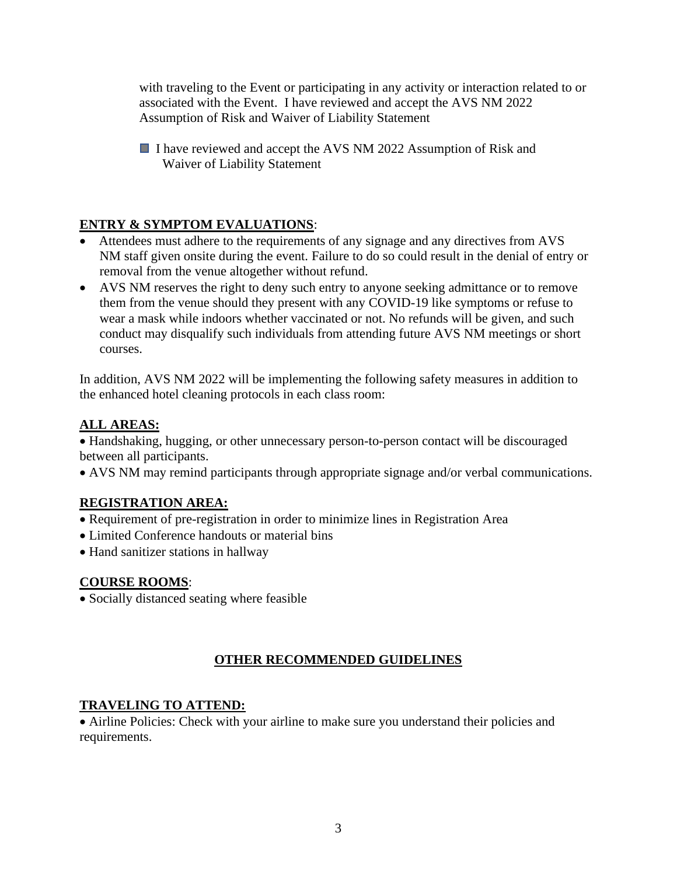with traveling to the Event or participating in any activity or interaction related to or associated with the Event. I have reviewed and accept the AVS NM 2022 Assumption of Risk and Waiver of Liability Statement

I have reviewed and accept the AVS NM 2022 Assumption of Risk and Waiver of Liability Statement

# **ENTRY & SYMPTOM EVALUATIONS**:

- Attendees must adhere to the requirements of any signage and any directives from AVS NM staff given onsite during the event. Failure to do so could result in the denial of entry or removal from the venue altogether without refund.
- AVS NM reserves the right to deny such entry to anyone seeking admittance or to remove them from the venue should they present with any COVID-19 like symptoms or refuse to wear a mask while indoors whether vaccinated or not. No refunds will be given, and such conduct may disqualify such individuals from attending future AVS NM meetings or short courses.

In addition, AVS NM 2022 will be implementing the following safety measures in addition to the enhanced hotel cleaning protocols in each class room:

# **ALL AREAS:**

• Handshaking, hugging, or other unnecessary person-to-person contact will be discouraged between all participants.

• AVS NM may remind participants through appropriate signage and/or verbal communications.

# **REGISTRATION AREA:**

- Requirement of pre-registration in order to minimize lines in Registration Area
- Limited Conference handouts or material bins
- Hand sanitizer stations in hallway

# **COURSE ROOMS**:

• Socially distanced seating where feasible

# **OTHER RECOMMENDED GUIDELINES**

# **TRAVELING TO ATTEND:**

• Airline Policies: Check with your airline to make sure you understand their policies and requirements.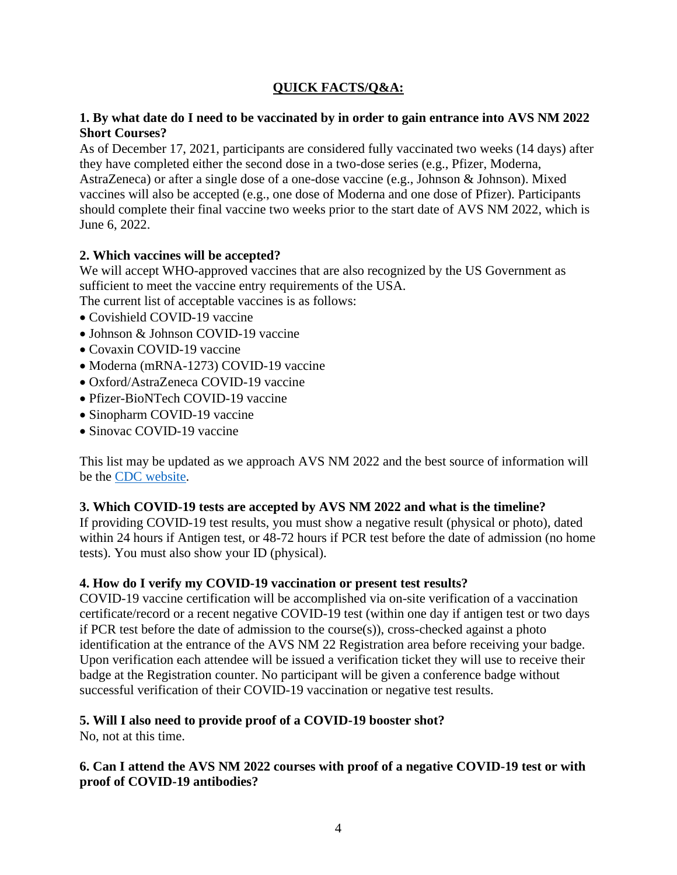# **QUICK FACTS/Q&A:**

## **1. By what date do I need to be vaccinated by in order to gain entrance into AVS NM 2022 Short Courses?**

As of December 17, 2021, participants are considered fully vaccinated two weeks (14 days) after they have completed either the second dose in a two-dose series (e.g., Pfizer, Moderna, AstraZeneca) or after a single dose of a one-dose vaccine (e.g., Johnson & Johnson). Mixed vaccines will also be accepted (e.g., one dose of Moderna and one dose of Pfizer). Participants should complete their final vaccine two weeks prior to the start date of AVS NM 2022, which is June 6, 2022.

## **2. Which vaccines will be accepted?**

We will accept WHO-approved vaccines that are also recognized by the US Government as sufficient to meet the vaccine entry requirements of the USA.

The current list of acceptable vaccines is as follows:

- Covishield COVID-19 vaccine
- Johnson & Johnson COVID-19 vaccine
- Covaxin COVID-19 vaccine
- Moderna (mRNA-1273) COVID-19 vaccine
- Oxford/AstraZeneca COVID-19 vaccine
- Pfizer-BioNTech COVID-19 vaccine
- Sinopharm COVID-19 vaccine
- Sinovac COVID-19 vaccine

This list may be updated as we approach AVS NM 2022 and the best source of information will be the [CDC website.](https://www.cdc.gov/coronavirus/2019-ncov/travelers/testing-international-air-travelers.html)

#### **3. Which COVID-19 tests are accepted by AVS NM 2022 and what is the timeline?**

If providing COVID-19 test results, you must show a negative result (physical or photo), dated within 24 hours if Antigen test, or 48-72 hours if PCR test before the date of admission (no home tests). You must also show your ID (physical).

## **4. How do I verify my COVID-19 vaccination or present test results?**

COVID-19 vaccine certification will be accomplished via on-site verification of a vaccination certificate/record or a recent negative COVID-19 test (within one day if antigen test or two days if PCR test before the date of admission to the course(s)), cross-checked against a photo identification at the entrance of the AVS NM 22 Registration area before receiving your badge. Upon verification each attendee will be issued a verification ticket they will use to receive their badge at the Registration counter. No participant will be given a conference badge without successful verification of their COVID-19 vaccination or negative test results.

#### **5. Will I also need to provide proof of a COVID-19 booster shot?**

No, not at this time.

## **6. Can I attend the AVS NM 2022 courses with proof of a negative COVID-19 test or with proof of COVID-19 antibodies?**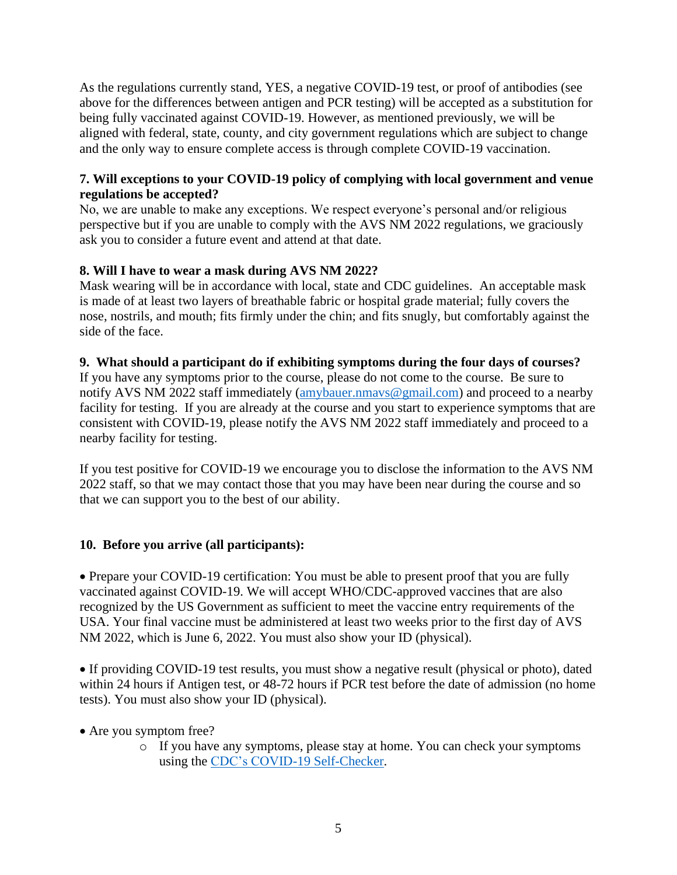As the regulations currently stand, YES, a negative COVID-19 test, or proof of antibodies (see above for the differences between antigen and PCR testing) will be accepted as a substitution for being fully vaccinated against COVID-19. However, as mentioned previously, we will be aligned with federal, state, county, and city government regulations which are subject to change and the only way to ensure complete access is through complete COVID-19 vaccination.

## **7. Will exceptions to your COVID-19 policy of complying with local government and venue regulations be accepted?**

No, we are unable to make any exceptions. We respect everyone's personal and/or religious perspective but if you are unable to comply with the AVS NM 2022 regulations, we graciously ask you to consider a future event and attend at that date.

## **8. Will I have to wear a mask during AVS NM 2022?**

Mask wearing will be in accordance with local, state and CDC guidelines. An acceptable mask is made of at least two layers of breathable fabric or hospital grade material; fully covers the nose, nostrils, and mouth; fits firmly under the chin; and fits snugly, but comfortably against the side of the face.

## **9. What should a participant do if exhibiting symptoms during the four days of courses?**

If you have any symptoms prior to the course, please do not come to the course. Be sure to notify AVS NM 2022 staff immediately [\(amybauer.nmavs@gmail.com\)](mailto:amybauer.nmavs@gmail.com) and proceed to a nearby facility for testing. If you are already at the course and you start to experience symptoms that are consistent with COVID-19, please notify the AVS NM 2022 staff immediately and proceed to a nearby facility for testing.

If you test positive for COVID-19 we encourage you to disclose the information to the AVS NM 2022 staff, so that we may contact those that you may have been near during the course and so that we can support you to the best of our ability.

## **10. Before you arrive (all participants):**

• Prepare your COVID-19 certification: You must be able to present proof that you are fully vaccinated against COVID-19. We will accept WHO/CDC-approved vaccines that are also recognized by the US Government as sufficient to meet the vaccine entry requirements of the USA. Your final vaccine must be administered at least two weeks prior to the first day of AVS NM 2022, which is June 6, 2022. You must also show your ID (physical).

• If providing COVID-19 test results, you must show a negative result (physical or photo), dated within 24 hours if Antigen test, or 48-72 hours if PCR test before the date of admission (no home tests). You must also show your ID (physical).

- Are you symptom free?
	- o If you have any symptoms, please stay at home. You can check your symptoms using the [CDC's COVID-19 Self-Checker.](https://www.cdc.gov/coronavirus/2019-ncov/symptoms-testing/coronavirus-self-checker.html)